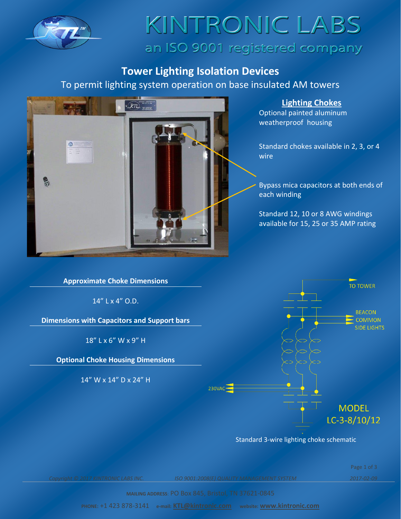

### KINTRONIC LABS an ISO 9001 registered company

### **Tower Lighting Isolation Devices**

To permit lighting system operation on base insulated AM towers



**Lighting Chokes**

Optional painted aluminum weatherproof housing

Standard chokes available in 2, 3, or 4 wire

Bypass mica capacitors at both ends of each winding

Standard 12, 10 or 8 AWG windings available for 15, 25 or 35 AMP rating

**Approximate Choke Dimensions**

14" L x 4" O.D.

**Dimensions with Capacitors and Support bars**

18" L x 6" W x 9" H

**Optional Choke Housing Dimensions**

14" W x 14" D x 24" H



Standard 3-wire lighting choke schematic

Page 1 of 3

*Copyright © 2017 KINTRONIC LABS INC. ISO 9001:2008(E) QUALITY MANAGEMENT SYSTEM 2017-02-09*

**MAILING ADDRESS**: PO Box 845, Bristol, TN 37621-0845

**PHONE:** +1 423 878-3141 **e-mail: [KTL@kintronic.com](mailto:KTL@kintronic.com) website: [www.kintronic.com](http://www.kintronic.com/)**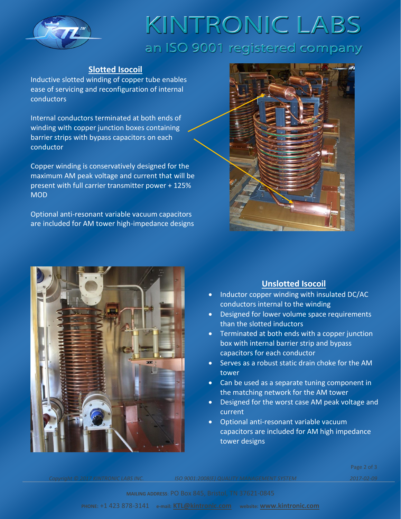

# KINTRONIC LABS an ISO 9001 registered company

#### **Slotted Isocoil**

Inductive slotted winding of copper tube enables ease of servicing and reconfiguration of internal conductors

Internal conductors terminated at both ends of winding with copper junction boxes containing barrier strips with bypass capacitors on each conductor

Copper winding is conservatively designed for the maximum AM peak voltage and current that will be present with full carrier transmitter power + 125% MOD

Optional anti-resonant variable vacuum capacitors are included for AM tower high-impedance designs





### **Unslotted Isocoil**

- Inductor copper winding with insulated DC/AC conductors internal to the winding
- Designed for lower volume space requirements than the slotted inductors
- Terminated at both ends with a copper junction box with internal barrier strip and bypass capacitors for each conductor
- Serves as a robust static drain choke for the AM tower
- Can be used as a separate tuning component in the matching network for the AM tower
- Designed for the worst case AM peak voltage and current
- Optional anti-resonant variable vacuum capacitors are included for AM high impedance tower designs

*Copyright © 2017 KINTRONIC LABS INC. ISO 9001:2008(E) QUALITY MANAGEMENT SYSTEM 2017-02-09*

Page 2 of 3

**MAILING ADDRESS**: PO Box 845, Bristol, TN 37621-0845

**PHONE:** +1 423 878-3141 **e-mail: [KTL@kintronic.com](mailto:KTL@kintronic.com) website: [www.kintronic.com](http://www.kintronic.com/)**